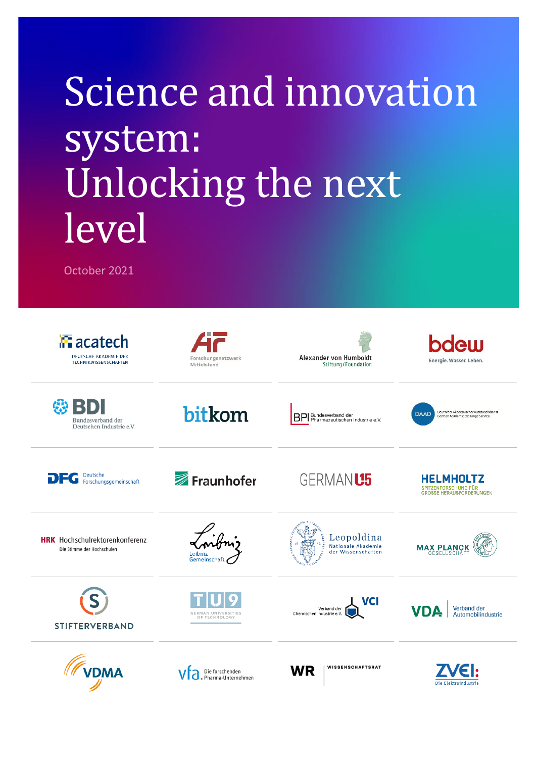# Science and innovation system: Unlocking the next level

October 2021

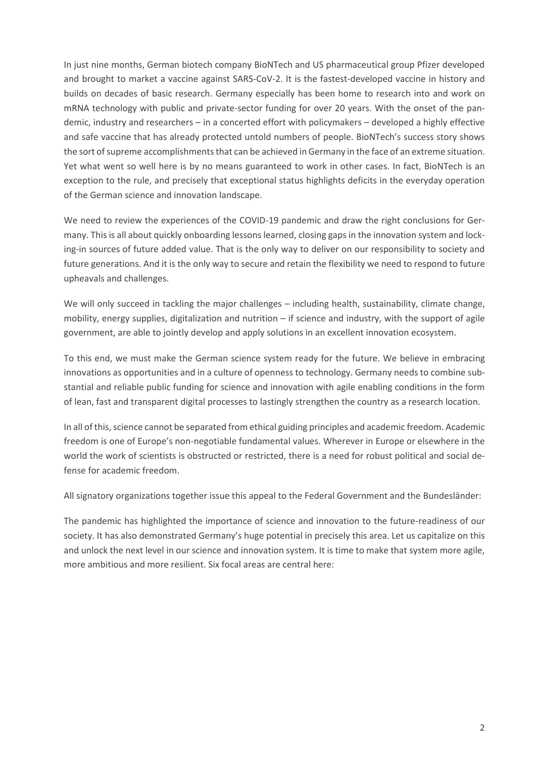In just nine months, German biotech company BioNTech and US pharmaceutical group Pfizer developed and brought to market a vaccine against SARS-CoV-2. It is the fastest-developed vaccine in history and builds on decades of basic research. Germany especially has been home to research into and work on mRNA technology with public and private-sector funding for over 20 years. With the onset of the pandemic, industry and researchers – in a concerted effort with policymakers – developed a highly effective and safe vaccine that has already protected untold numbers of people. BioNTech's success story shows the sort of supreme accomplishments that can be achieved in Germany in the face of an extreme situation. Yet what went so well here is by no means guaranteed to work in other cases. In fact, BioNTech is an exception to the rule, and precisely that exceptional status highlights deficits in the everyday operation of the German science and innovation landscape.

We need to review the experiences of the COVID-19 pandemic and draw the right conclusions for Germany. This is all about quickly onboarding lessons learned, closing gaps in the innovation system and locking-in sources of future added value. That is the only way to deliver on our responsibility to society and future generations. And it is the only way to secure and retain the flexibility we need to respond to future upheavals and challenges.

We will only succeed in tackling the major challenges – including health, sustainability, climate change, mobility, energy supplies, digitalization and nutrition – if science and industry, with the support of agile government, are able to jointly develop and apply solutions in an excellent innovation ecosystem.

To this end, we must make the German science system ready for the future. We believe in embracing innovations as opportunities and in a culture of openness to technology. Germany needs to combine substantial and reliable public funding for science and innovation with agile enabling conditions in the form of lean, fast and transparent digital processes to lastingly strengthen the country as a research location.

In all of this, science cannot be separated from ethical guiding principles and academic freedom. Academic freedom is one of Europe's non-negotiable fundamental values. Wherever in Europe or elsewhere in the world the work of scientists is obstructed or restricted, there is a need for robust political and social defense for academic freedom.

All signatory organizations together issue this appeal to the Federal Government and the Bundesländer:

The pandemic has highlighted the importance of science and innovation to the future-readiness of our society. It has also demonstrated Germany's huge potential in precisely this area. Let us capitalize on this and unlock the next level in our science and innovation system. It is time to make that system more agile, more ambitious and more resilient. Six focal areas are central here: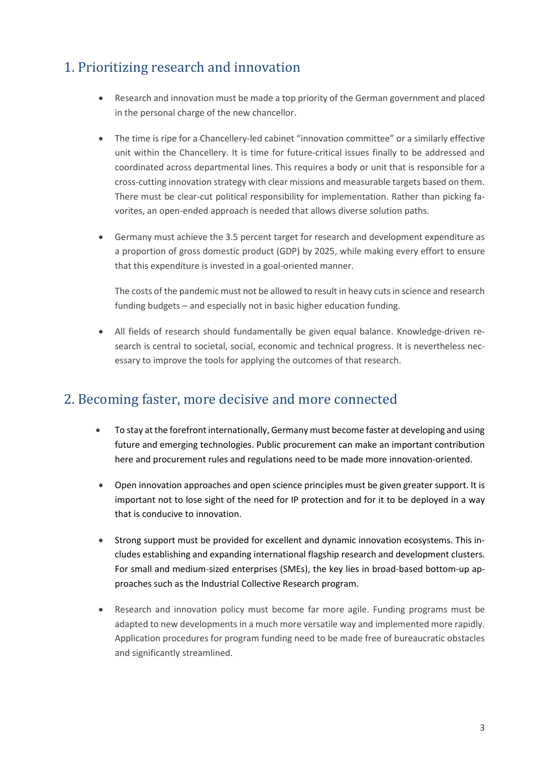## 1. Prioritizing research and innovation

- Research and innovation must be made a top priority of the German government and placed in the personal charge of the new chancellor.
- The time is ripe for a Chancellery-led cabinet "innovation committee" or a similarly effective unit within the Chancellery. It is time for future-critical issues finally to be addressed and coordinated across departmental lines. This requires a body or unit that is responsible for a cross-cutting innovation strategy with clear missions and measurable targets based on them. There must be clear-cut political responsibility for implementation. Rather than picking favorites, an open-ended approach is needed that allows diverse solution paths.
- Germany must achieve the 3.5 percent target for research and development expenditure as a proportion of gross domestic product (GDP) by 2025, while making every effort to ensure that this expenditure is invested in a goal-oriented manner.

The costs of the pandemic must not be allowed to result in heavy cuts in science and research funding budgets – and especially not in basic higher education funding.

 All fields of research should fundamentally be given equal balance. Knowledge-driven research is central to societal, social, economic and technical progress. It is nevertheless necessary to improve the tools for applying the outcomes of that research.

#### 2. Becoming faster, more decisive and more connected

- To stay at the forefront internationally, Germany must become faster at developing and using future and emerging technologies. Public procurement can make an important contribution here and procurement rules and regulations need to be made more innovation-oriented.
- Open innovation approaches and open science principles must be given greater support. It is important not to lose sight of the need for IP protection and for it to be deployed in a way that is conducive to innovation.
- Strong support must be provided for excellent and dynamic innovation ecosystems. This includes establishing and expanding international flagship research and development clusters. For small and medium-sized enterprises (SMEs), the key lies in broad-based bottom-up approaches such as the Industrial Collective Research program.
- Research and innovation policy must become far more agile. Funding programs must be adapted to new developments in a much more versatile way and implemented more rapidly. Application procedures for program funding need to be made free of bureaucratic obstacles and significantly streamlined.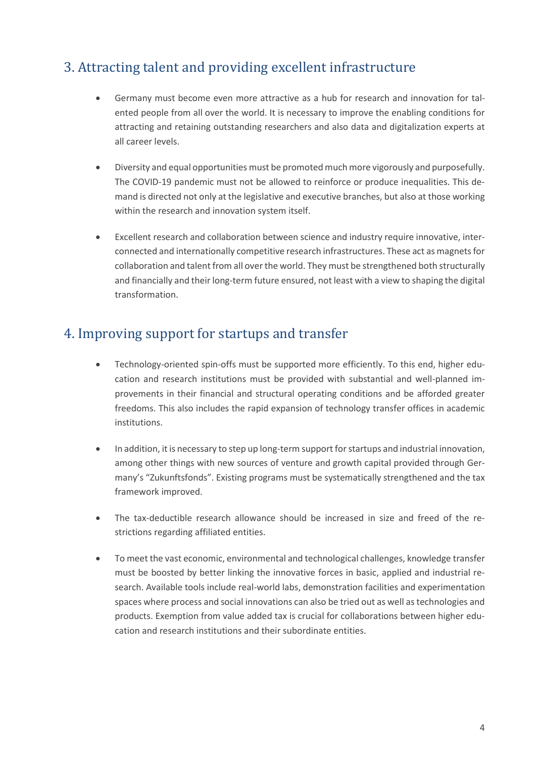## 3. Attracting talent and providing excellent infrastructure

- Germany must become even more attractive as a hub for research and innovation for talented people from all over the world. It is necessary to improve the enabling conditions for attracting and retaining outstanding researchers and also data and digitalization experts at all career levels.
- Diversity and equal opportunities must be promoted much more vigorously and purposefully. The COVID-19 pandemic must not be allowed to reinforce or produce inequalities. This demand is directed not only at the legislative and executive branches, but also at those working within the research and innovation system itself.
- Excellent research and collaboration between science and industry require innovative, interconnected and internationally competitive research infrastructures. These act as magnets for collaboration and talent from all over the world. They must be strengthened both structurally and financially and their long-term future ensured, not least with a view to shaping the digital transformation.

#### 4. Improving support for startups and transfer

- Technology-oriented spin-offs must be supported more efficiently. To this end, higher education and research institutions must be provided with substantial and well-planned improvements in their financial and structural operating conditions and be afforded greater freedoms. This also includes the rapid expansion of technology transfer offices in academic institutions.
- In addition, it is necessary to step up long-term support for startups and industrial innovation, among other things with new sources of venture and growth capital provided through Germany's "Zukunftsfonds". Existing programs must be systematically strengthened and the tax framework improved.
- The tax-deductible research allowance should be increased in size and freed of the restrictions regarding affiliated entities.
- To meet the vast economic, environmental and technological challenges, knowledge transfer must be boosted by better linking the innovative forces in basic, applied and industrial research. Available tools include real-world labs, demonstration facilities and experimentation spaces where process and social innovations can also be tried out as well as technologies and products. Exemption from value added tax is crucial for collaborations between higher education and research institutions and their subordinate entities.